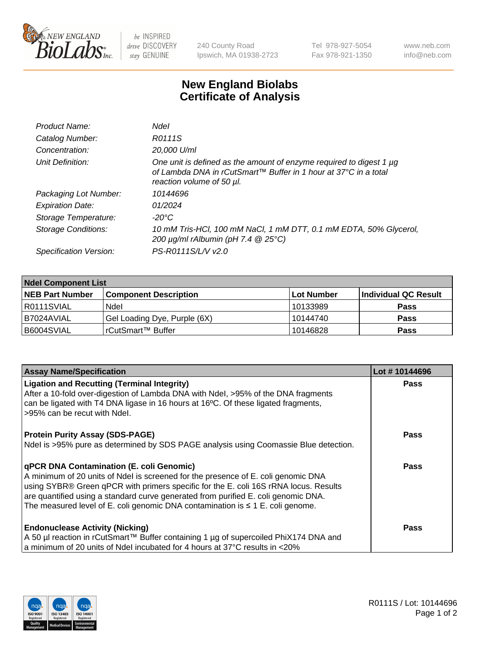

 $be$  INSPIRED drive DISCOVERY stay GENUINE

240 County Road Ipswich, MA 01938-2723 Tel 978-927-5054 Fax 978-921-1350 www.neb.com info@neb.com

## **New England Biolabs Certificate of Analysis**

| Product Name:           | Ndel                                                                                                                                                                |
|-------------------------|---------------------------------------------------------------------------------------------------------------------------------------------------------------------|
| Catalog Number:         | R0111S                                                                                                                                                              |
| Concentration:          | 20,000 U/ml                                                                                                                                                         |
| Unit Definition:        | One unit is defined as the amount of enzyme required to digest 1 µg<br>of Lambda DNA in rCutSmart™ Buffer in 1 hour at 37°C in a total<br>reaction volume of 50 µl. |
| Packaging Lot Number:   | 10144696                                                                                                                                                            |
| <b>Expiration Date:</b> | 01/2024                                                                                                                                                             |
| Storage Temperature:    | -20°C                                                                                                                                                               |
| Storage Conditions:     | 10 mM Tris-HCl, 100 mM NaCl, 1 mM DTT, 0.1 mM EDTA, 50% Glycerol,<br>200 µg/ml rAlbumin (pH 7.4 @ 25°C)                                                             |
| Specification Version:  | PS-R0111S/L/V v2.0                                                                                                                                                  |
|                         |                                                                                                                                                                     |

| <b>Ndel Component List</b> |                              |            |                      |  |  |
|----------------------------|------------------------------|------------|----------------------|--|--|
| <b>NEB Part Number</b>     | <b>Component Description</b> | Lot Number | Individual QC Result |  |  |
| R0111SVIAL                 | Ndel                         | 10133989   | <b>Pass</b>          |  |  |
| B7024AVIAL                 | Gel Loading Dye, Purple (6X) | 10144740   | <b>Pass</b>          |  |  |
| B6004SVIAL                 | rCutSmart™ Buffer            | 10146828   | <b>Pass</b>          |  |  |

| <b>Assay Name/Specification</b>                                                                                                                                                                                                                                                                                                                                                                           | Lot #10144696 |
|-----------------------------------------------------------------------------------------------------------------------------------------------------------------------------------------------------------------------------------------------------------------------------------------------------------------------------------------------------------------------------------------------------------|---------------|
| <b>Ligation and Recutting (Terminal Integrity)</b><br>After a 10-fold over-digestion of Lambda DNA with Ndel, >95% of the DNA fragments<br>can be ligated with T4 DNA ligase in 16 hours at 16°C. Of these ligated fragments,<br>l >95% can be recut with Ndel.                                                                                                                                           | <b>Pass</b>   |
| <b>Protein Purity Assay (SDS-PAGE)</b><br>Ndel is >95% pure as determined by SDS PAGE analysis using Coomassie Blue detection.                                                                                                                                                                                                                                                                            | <b>Pass</b>   |
| <b>qPCR DNA Contamination (E. coli Genomic)</b><br>A minimum of 20 units of Ndel is screened for the presence of E. coli genomic DNA<br>using SYBR® Green qPCR with primers specific for the E. coli 16S rRNA locus. Results<br>are quantified using a standard curve generated from purified E. coli genomic DNA.<br>The measured level of E. coli genomic DNA contamination is $\leq 1$ E. coli genome. | <b>Pass</b>   |
| <b>Endonuclease Activity (Nicking)</b><br>  A 50 µl reaction in rCutSmart™ Buffer containing 1 µg of supercoiled PhiX174 DNA and<br>a minimum of 20 units of Ndel incubated for 4 hours at 37°C results in <20%                                                                                                                                                                                           | <b>Pass</b>   |